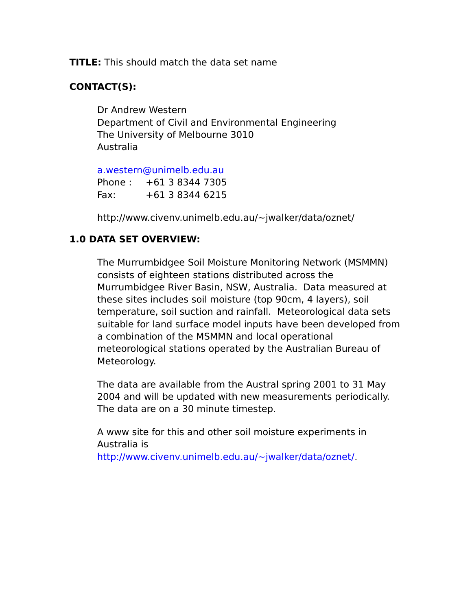**TITLE:** This should match the data set name

# **CONTACT(S):**

Dr Andrew Western Department of Civil and Environmental Engineering The University of Melbourne 3010 Australia

[a.western@unimelb.edu.au](mailto:a.western@unimelb.edu.au)

Phone : +61 3 8344 7305 Fax: +61 3 8344 6215

http://www.civenv.unimelb.edu.au/~jwalker/data/oznet/

## **1.0 DATA SET OVERVIEW:**

The Murrumbidgee Soil Moisture Monitoring Network (MSMMN) consists of eighteen stations distributed across the Murrumbidgee River Basin, NSW, Australia. Data measured at these sites includes soil moisture (top 90cm, 4 layers), soil temperature, soil suction and rainfall. Meteorological data sets suitable for land surface model inputs have been developed from a combination of the MSMMN and local operational meteorological stations operated by the Australian Bureau of Meteorology.

The data are available from the Austral spring 2001 to 31 May 2004 and will be updated with new measurements periodically. The data are on a 30 minute timestep.

A www site for this and other soil moisture experiments in Australia is [http://www.civenv.unimelb.edu.au/~jwalker/data/oznet/.](http://www.civenv.unimelb.edu.au/~jwalker/data/oznet/)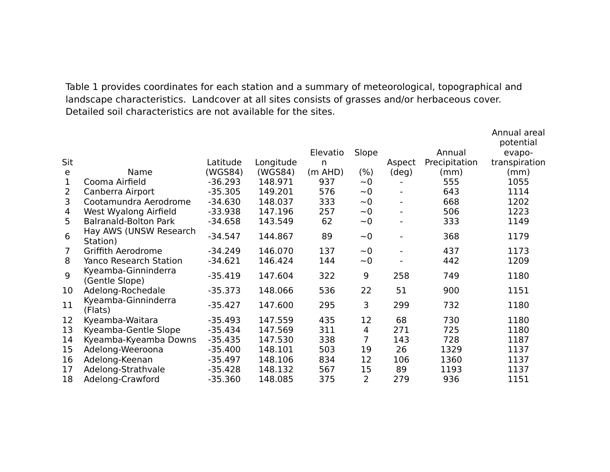Table 1 provides coordinates for each station and a summary of meteorological, topographical and landscape characteristics. Landcover at all sites consists of grasses and/or herbaceous cover. Detailed soil characteristics are not available for the sites.

|     |                                       |           |           |              |       |                          |               | Annual areal<br>potential |
|-----|---------------------------------------|-----------|-----------|--------------|-------|--------------------------|---------------|---------------------------|
|     |                                       |           |           | Elevatio     | Slope |                          | Annual        | evapo-                    |
| Sit |                                       | Latitude  | Longitude | n            |       | Aspect                   | Precipitation | transpiration             |
| e   | Name                                  | (WGS84)   | (WGS84)   | $(m$ AHD $)$ | (% )  | $(\text{deg})$           | (mm)          | (mm)                      |
| 1   | Cooma Airfield                        | $-36.293$ | 148.971   | 937          | ~1    |                          | 555           | 1055                      |
| 2   | Canberra Airport                      | $-35.305$ | 149.201   | 576          | $-0$  | $\overline{\phantom{a}}$ | 643           | 1114                      |
| 3   | Cootamundra Aerodrome                 | $-34.630$ | 148.037   | 333          | $-0$  | $\overline{\phantom{a}}$ | 668           | 1202                      |
| 4   | West Wyalong Airfield                 | $-33.938$ | 147.196   | 257          | $-0$  | $\hbox{--}$              | 506           | 1223                      |
| 5   | <b>Balranald-Bolton Park</b>          | $-34.658$ | 143.549   | 62           | $-0$  | $\overline{\phantom{a}}$ | 333           | 1149                      |
| 6   | Hay AWS (UNSW Research<br>Station)    | $-34.547$ | 144.867   | 89           | $-0$  | $\overline{\phantom{a}}$ | 368           | 1179                      |
| 7   | Griffith Aerodrome                    | $-34.249$ | 146.070   | 137          | $-0$  | $\overline{\phantom{a}}$ | 437           | 1173                      |
| 8   | <b>Yanco Research Station</b>         | $-34.621$ | 146.424   | 144          | $-0$  |                          | 442           | 1209                      |
| 9   | Kyeamba-Ginninderra<br>(Gentle Slope) | $-35.419$ | 147.604   | 322          | 9     | 258                      | 749           | 1180                      |
| 10  | Adelong-Rochedale                     | $-35.373$ | 148.066   | 536          | 22    | 51                       | 900           | 1151                      |
| 11  | Kyeamba-Ginninderra<br>(Flats)        | $-35.427$ | 147.600   | 295          | 3     | 299                      | 732           | 1180                      |
| 12  | Kyeamba-Waitara                       | $-35.493$ | 147.559   | 435          | 12    | 68                       | 730           | 1180                      |
| 13  | Kyeamba-Gentle Slope                  | $-35.434$ | 147.569   | 311          | 4     | 271                      | 725           | 1180                      |
| 14  | Kyeamba-Kyeamba Downs                 | $-35.435$ | 147.530   | 338          | 7     | 143                      | 728           | 1187                      |
| 15  | Adelong-Weeroona                      | $-35.400$ | 148.101   | 503          | 19    | 26                       | 1329          | 1137                      |
| 16  | Adelong-Keenan                        | $-35.497$ | 148.106   | 834          | 12    | 106                      | 1360          | 1137                      |
| 17  | Adelong-Strathvale                    | $-35.428$ | 148.132   | 567          | 15    | 89                       | 1193          | 1137                      |
| 18  | Adelong-Crawford                      | $-35.360$ | 148.085   | 375          | 2     | 279                      | 936           | 1151                      |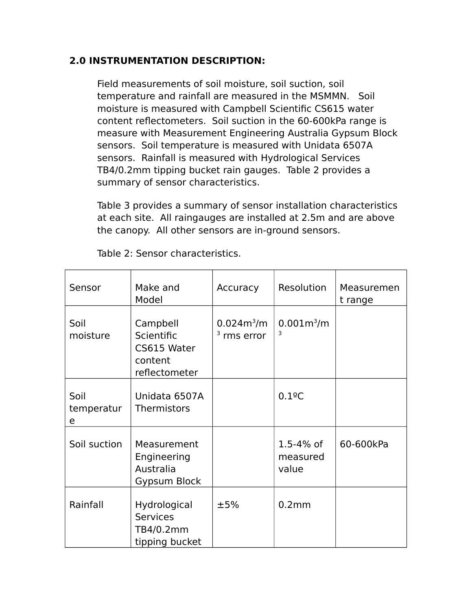## **2.0 INSTRUMENTATION DESCRIPTION:**

Field measurements of soil moisture, soil suction, soil temperature and rainfall are measured in the MSMMN. Soil moisture is measured with Campbell Scientific CS615 water content reflectometers. Soil suction in the 60-600kPa range is measure with Measurement Engineering Australia Gypsum Block sensors. Soil temperature is measured with Unidata 6507A sensors. Rainfall is measured with Hydrological Services TB4/0.2mm tipping bucket rain gauges. Table 2 provides a summary of sensor characteristics.

Table 3 provides a summary of sensor installation characteristics at each site. All raingauges are installed at 2.5m and are above the canopy. All other sensors are in-ground sensors.

| Sensor                  | Make and<br>Model                                                 | Accuracy                      | Resolution                         | Measuremen<br>t range |
|-------------------------|-------------------------------------------------------------------|-------------------------------|------------------------------------|-----------------------|
| Soil<br>moisture        | Campbell<br>Scientific<br>CS615 Water<br>content<br>reflectometer | $0.024m^3/m$<br>$3$ rms error | $0.001m^3/m$<br>3                  |                       |
| Soil<br>temperatur<br>e | Unidata 6507A<br>Thermistors                                      |                               | $0.1$ <sup>o</sup> C               |                       |
| Soil suction            | Measurement<br>Engineering<br>Australia<br>Gypsum Block           |                               | $1.5 - 4%$ of<br>measured<br>value | 60-600kPa             |
| Rainfall                | Hydrological<br><b>Services</b><br>TB4/0.2mm<br>tipping bucket    | ±5%                           | 0.2mm                              |                       |

Table 2: Sensor characteristics.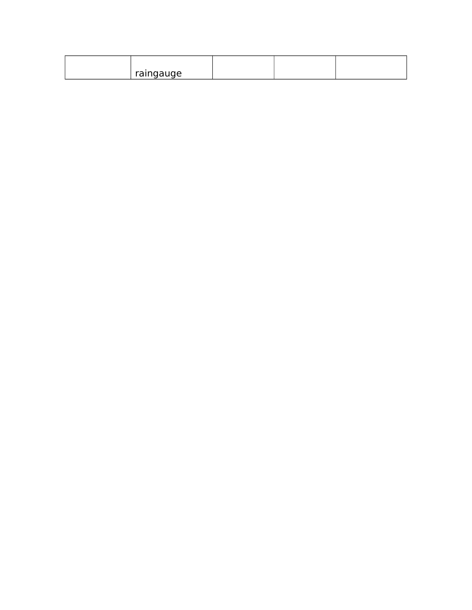| raingauge |  |  |
|-----------|--|--|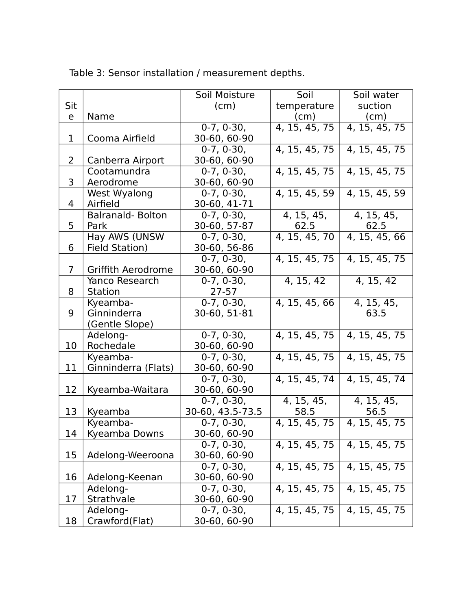|                |                         | Soil Moisture            | Soil          | Soil water    |
|----------------|-------------------------|--------------------------|---------------|---------------|
| Sit            |                         | (cm)                     | temperature   | suction       |
| e              | Name                    |                          | (cm)          | (cm)          |
|                |                         | $0-7, 0-30,$             | 4, 15, 45, 75 | 4, 15, 45, 75 |
| $\mathbf{1}$   | Cooma Airfield          | 30-60, 60-90             |               |               |
|                |                         | $\overline{0}$ -7, 0-30, | 4, 15, 45, 75 | 4, 15, 45, 75 |
| 2              | Canberra Airport        | 30-60, 60-90             |               |               |
|                | Cootamundra             | $0-7, 0-30,$             | 4, 15, 45, 75 | 4, 15, 45, 75 |
| 3              | Aerodrome               | 30-60, 60-90             |               |               |
|                | West Wyalong            | $0-7, 0-30,$             | 4, 15, 45, 59 | 4, 15, 45, 59 |
| 4              | Airfield                | 30-60, 41-71             |               |               |
|                | <b>Balranald-Bolton</b> | $\overline{0}$ -7, 0-30, | 4, 15, 45,    | 4, 15, 45,    |
| 5              | Park                    | 30-60, 57-87             | 62.5          | 62.5          |
|                | Hay AWS (UNSW           | $0-7, 0-30,$             | 4, 15, 45, 70 | 4, 15, 45, 66 |
| 6              | Field Station)          | 30-60, 56-86             |               |               |
|                |                         | $0-7, 0-30,$             | 4, 15, 45, 75 | 4, 15, 45, 75 |
| $\overline{7}$ | Griffith Aerodrome      | 30-60, 60-90             |               |               |
|                | Yanco Research          | $0-7, 0-30,$             | 4, 15, 42     | 4, 15, 42     |
| 8              | <b>Station</b>          | $27 - 57$                |               |               |
|                | Kyeamba-                | $0-7, 0-30,$             | 4, 15, 45, 66 | 4, 15, 45,    |
| 9              | Ginninderra             | 30-60, 51-81             |               | 63.5          |
|                | (Gentle Slope)          |                          |               |               |
|                | Adelong-                | $0-7, 0-30,$             | 4, 15, 45, 75 | 4, 15, 45, 75 |
| 10             | Rochedale               | 30-60, 60-90             |               |               |
|                | Kyeamba-                | $0-7, 0-30,$             | 4, 15, 45, 75 | 4, 15, 45, 75 |
| 11             | Ginninderra (Flats)     | 30-60, 60-90             |               |               |
|                |                         | $0-7, 0-30,$             | 4, 15, 45, 74 | 4, 15, 45, 74 |
| 12             | Kyeamba-Waitara         | 30-60, 60-90             |               |               |
|                |                         | $0-7, 0-30,$             | 4, 15, 45,    | 4, 15, 45,    |
| 13             | Kyeamba                 | 30-60, 43.5-73.5         | 58.5          | 56.5          |
|                | Kyeamba-                | $0-7, 0-30,$             | 4, 15, 45, 75 | 4, 15, 45, 75 |
| 14             | Kyeamba Downs           | 30-60, 60-90             |               |               |
|                |                         | $0-7, 0-30,$             | 4, 15, 45, 75 | 4, 15, 45, 75 |
| 15             | Adelong-Weeroona        | 30-60, 60-90             |               |               |
|                |                         | $0-7, 0-30,$             | 4, 15, 45, 75 | 4, 15, 45, 75 |
| 16             | Adelong-Keenan          | 30-60, 60-90             |               |               |
|                | Adelong-                | $0-7, 0-30,$             | 4, 15, 45, 75 | 4, 15, 45, 75 |
| 17             | Strathvale              | 30-60, 60-90             |               |               |
|                | Adelong-                | $0-7, 0-30,$             | 4, 15, 45, 75 | 4, 15, 45, 75 |
| 18             | Crawford(Flat)          | 30-60, 60-90             |               |               |

Table 3: Sensor installation / measurement depths.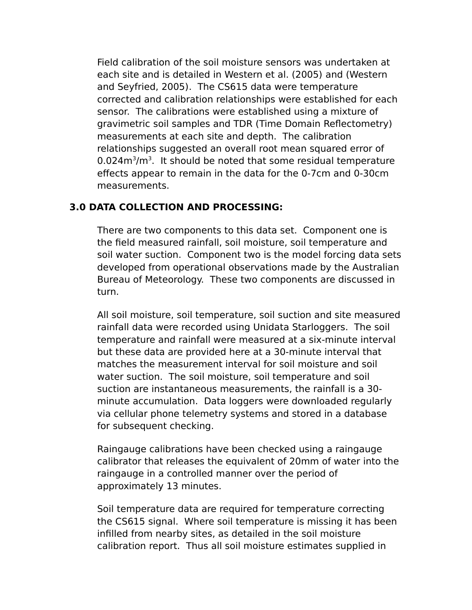Field calibration of the soil moisture sensors was undertaken at each site and is detailed in Western et al. (2005) and (Western and Seyfried, 2005). The CS615 data were temperature corrected and calibration relationships were established for each sensor. The calibrations were established using a mixture of gravimetric soil samples and TDR (Time Domain Reflectometry) measurements at each site and depth. The calibration relationships suggested an overall root mean squared error of  $0.024$ m<sup>3</sup>/m<sup>3</sup>. It should be noted that some residual temperature effects appear to remain in the data for the 0-7cm and 0-30cm measurements.

#### **3.0 DATA COLLECTION AND PROCESSING:**

There are two components to this data set. Component one is the field measured rainfall, soil moisture, soil temperature and soil water suction. Component two is the model forcing data sets developed from operational observations made by the Australian Bureau of Meteorology. These two components are discussed in turn.

All soil moisture, soil temperature, soil suction and site measured rainfall data were recorded using Unidata Starloggers. The soil temperature and rainfall were measured at a six-minute interval but these data are provided here at a 30-minute interval that matches the measurement interval for soil moisture and soil water suction. The soil moisture, soil temperature and soil suction are instantaneous measurements, the rainfall is a 30 minute accumulation. Data loggers were downloaded regularly via cellular phone telemetry systems and stored in a database for subsequent checking.

Raingauge calibrations have been checked using a raingauge calibrator that releases the equivalent of 20mm of water into the raingauge in a controlled manner over the period of approximately 13 minutes.

Soil temperature data are required for temperature correcting the CS615 signal. Where soil temperature is missing it has been infilled from nearby sites, as detailed in the soil moisture calibration report. Thus all soil moisture estimates supplied in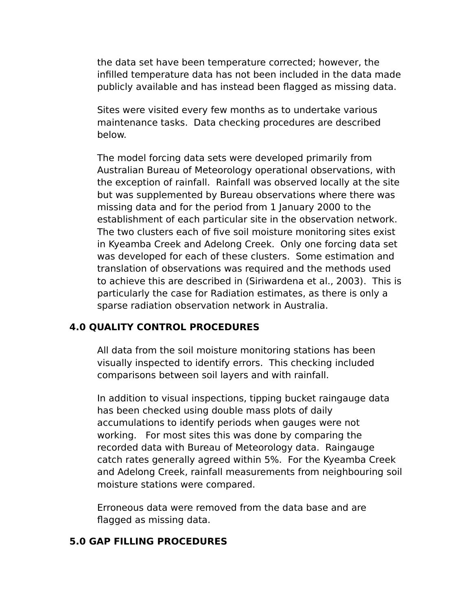the data set have been temperature corrected; however, the infilled temperature data has not been included in the data made publicly available and has instead been flagged as missing data.

Sites were visited every few months as to undertake various maintenance tasks. Data checking procedures are described below.

The model forcing data sets were developed primarily from Australian Bureau of Meteorology operational observations, with the exception of rainfall. Rainfall was observed locally at the site but was supplemented by Bureau observations where there was missing data and for the period from 1 January 2000 to the establishment of each particular site in the observation network. The two clusters each of five soil moisture monitoring sites exist in Kyeamba Creek and Adelong Creek. Only one forcing data set was developed for each of these clusters. Some estimation and translation of observations was required and the methods used to achieve this are described in (Siriwardena et al., 2003). This is particularly the case for Radiation estimates, as there is only a sparse radiation observation network in Australia.

### **4.0 QUALITY CONTROL PROCEDURES**

All data from the soil moisture monitoring stations has been visually inspected to identify errors. This checking included comparisons between soil layers and with rainfall.

In addition to visual inspections, tipping bucket raingauge data has been checked using double mass plots of daily accumulations to identify periods when gauges were not working. For most sites this was done by comparing the recorded data with Bureau of Meteorology data. Raingauge catch rates generally agreed within 5%. For the Kyeamba Creek and Adelong Creek, rainfall measurements from neighbouring soil moisture stations were compared.

Erroneous data were removed from the data base and are flagged as missing data.

#### **5.0 GAP FILLING PROCEDURES**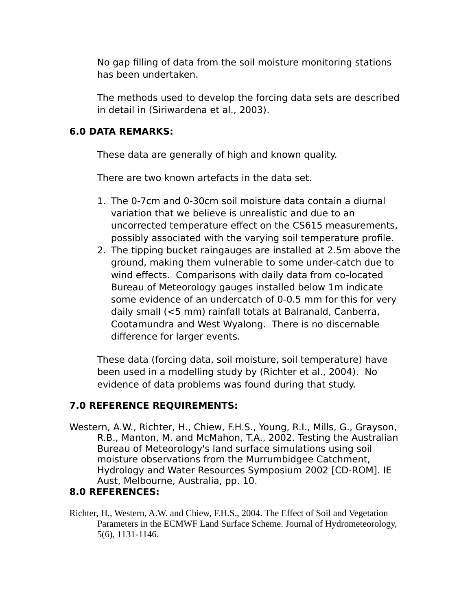No gap filling of data from the soil moisture monitoring stations has been undertaken.

The methods used to develop the forcing data sets are described in detail in (Siriwardena et al., 2003).

### **6.0 DATA REMARKS:**

These data are generally of high and known quality.

There are two known artefacts in the data set.

- 1. The 0-7cm and 0-30cm soil moisture data contain a diurnal variation that we believe is unrealistic and due to an uncorrected temperature effect on the CS615 measurements, possibly associated with the varying soil temperature profile.
- 2. The tipping bucket raingauges are installed at 2.5m above the ground, making them vulnerable to some under-catch due to wind effects. Comparisons with daily data from co-located Bureau of Meteorology gauges installed below 1m indicate some evidence of an undercatch of 0-0.5 mm for this for very daily small (<5 mm) rainfall totals at Balranald, Canberra, Cootamundra and West Wyalong. There is no discernable difference for larger events.

These data (forcing data, soil moisture, soil temperature) have been used in a modelling study by (Richter et al., 2004). No evidence of data problems was found during that study.

### **7.0 REFERENCE REQUIREMENTS:**

Western, A.W., Richter, H., Chiew, F.H.S., Young, R.I., Mills, G., Grayson, R.B., Manton, M. and McMahon, T.A., 2002. Testing the Australian Bureau of Meteorology's land surface simulations using soil moisture observations from the Murrumbidgee Catchment, Hydrology and Water Resources Symposium 2002 [CD-ROM]. IE Aust, Melbourne, Australia, pp. 10.

### **8.0 REFERENCES:**

Richter, H., Western, A.W. and Chiew, F.H.S., 2004. The Effect of Soil and Vegetation Parameters in the ECMWF Land Surface Scheme. Journal of Hydrometeorology, 5(6), 1131-1146.